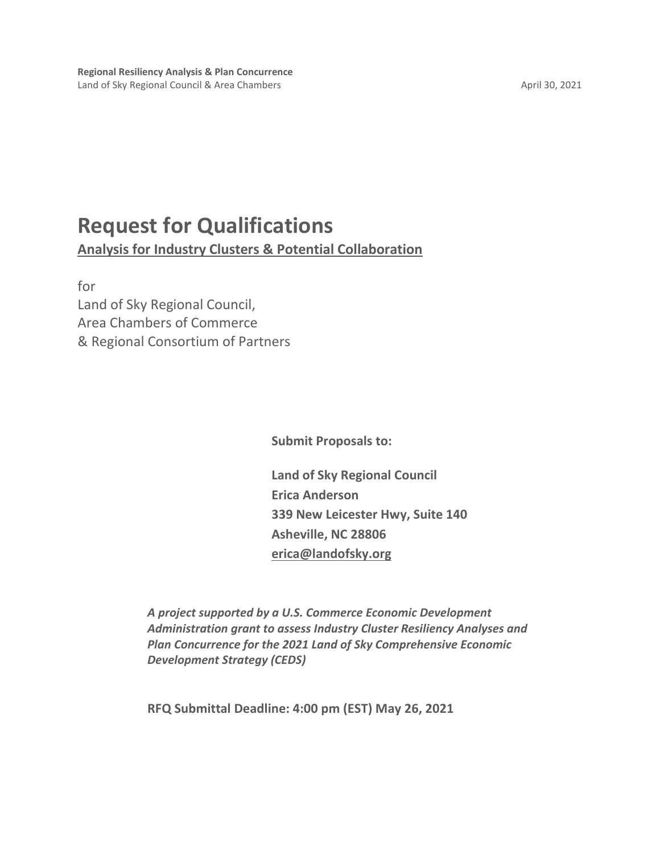# **Request for Qualifications**

**Analysis for Industry Clusters & Potential Collaboration**

for Land of Sky Regional Council, Area Chambers of Commerce & Regional Consortium of Partners

**Submit Proposals to:**

**Land of Sky Regional Council Erica Anderson 339 New Leicester Hwy, Suite 140 Asheville, NC 28806 [erica@landofsky.org](mailto:erica@landofsky.org)**

*A project supported by a U.S. Commerce Economic Development Administration grant to assess Industry Cluster Resiliency Analyses and Plan Concurrence for the 2021 Land of Sky Comprehensive Economic Development Strategy (CEDS)*

**RFQ Submittal Deadline: 4:00 pm (EST) May 26, 2021**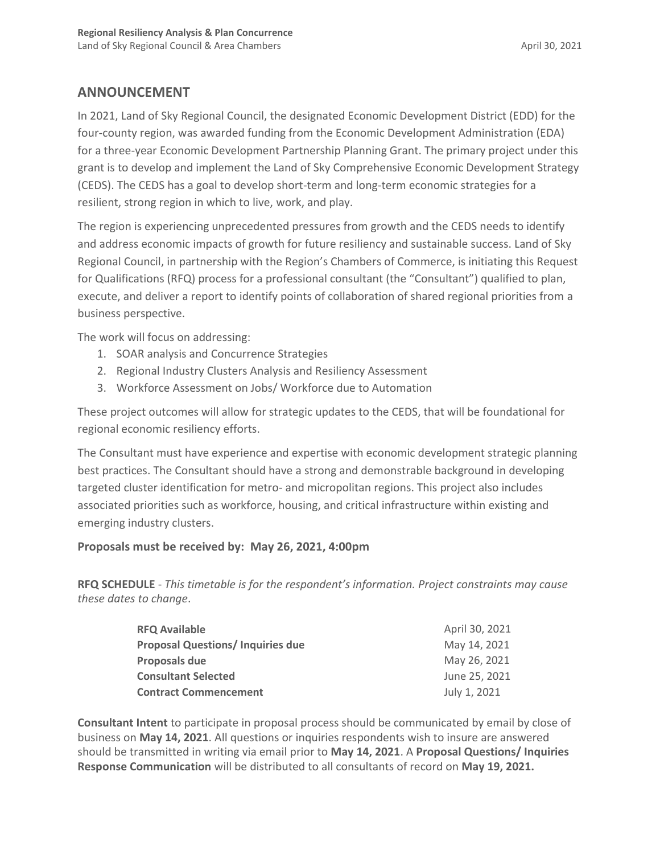# **ANNOUNCEMENT**

In 2021, Land of Sky Regional Council, the designated Economic Development District (EDD) for the four-county region, was awarded funding from the Economic Development Administration (EDA) for a three-year Economic Development Partnership Planning Grant. The primary project under this grant is to develop and implement the Land of Sky Comprehensive Economic Development Strategy (CEDS). The CEDS has a goal to develop short-term and long-term economic strategies for a resilient, strong region in which to live, work, and play.

The region is experiencing unprecedented pressures from growth and the CEDS needs to identify and address economic impacts of growth for future resiliency and sustainable success. Land of Sky Regional Council, in partnership with the Region's Chambers of Commerce, is initiating this Request for Qualifications (RFQ) process for a professional consultant (the "Consultant") qualified to plan, execute, and deliver a report to identify points of collaboration of shared regional priorities from a business perspective.

The work will focus on addressing:

- 1. SOAR analysis and Concurrence Strategies
- 2. Regional Industry Clusters Analysis and Resiliency Assessment
- 3. Workforce Assessment on Jobs/ Workforce due to Automation

These project outcomes will allow for strategic updates to the CEDS, that will be foundational for regional economic resiliency efforts.

The Consultant must have experience and expertise with economic development strategic planning best practices. The Consultant should have a strong and demonstrable background in developing targeted cluster identification for metro- and micropolitan regions. This project also includes associated priorities such as workforce, housing, and critical infrastructure within existing and emerging industry clusters.

# **Proposals must be received by: May 26, 2021, 4:00pm**

**RFQ SCHEDULE** - *This timetable is for the respondent's information. Project constraints may cause these dates to change*.

| <b>RFQ Available</b>                    | April 30, 2021 |
|-----------------------------------------|----------------|
| <b>Proposal Questions/Inquiries due</b> | May 14, 2021   |
| Proposals due                           | May 26, 2021   |
| <b>Consultant Selected</b>              | June 25, 2021  |
| <b>Contract Commencement</b>            | July 1, 2021   |

**Consultant Intent** to participate in proposal process should be communicated by email by close of business on **May 14, 2021**. All questions or inquiries respondents wish to insure are answered should be transmitted in writing via email prior to **May 14, 2021**. A **Proposal Questions/ Inquiries Response Communication** will be distributed to all consultants of record on **May 19, 2021.**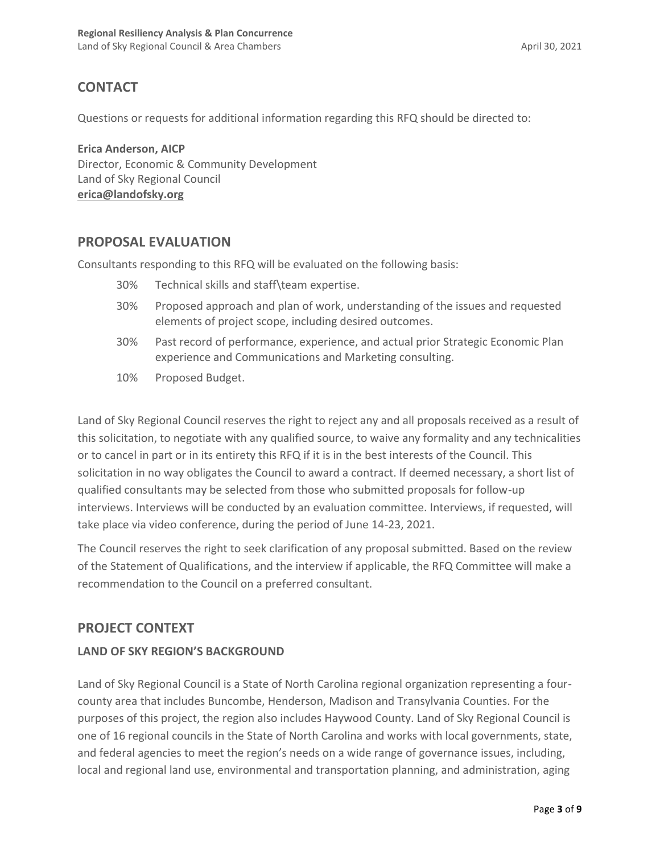# **CONTACT**

Questions or requests for additional information regarding this RFQ should be directed to:

**Erica Anderson, AICP** Director, Economic & Community Development Land of Sky Regional Council **[erica@landofsky.org](mailto:erica@landofsky.org)**

# **PROPOSAL EVALUATION**

Consultants responding to this RFQ will be evaluated on the following basis:

- 30% Technical skills and staff\team expertise.
- 30% Proposed approach and plan of work, understanding of the issues and requested elements of project scope, including desired outcomes.
- 30% Past record of performance, experience, and actual prior Strategic Economic Plan experience and Communications and Marketing consulting.
- 10% Proposed Budget.

Land of Sky Regional Council reserves the right to reject any and all proposals received as a result of this solicitation, to negotiate with any qualified source, to waive any formality and any technicalities or to cancel in part or in its entirety this RFQ if it is in the best interests of the Council. This solicitation in no way obligates the Council to award a contract. If deemed necessary, a short list of qualified consultants may be selected from those who submitted proposals for follow-up interviews. Interviews will be conducted by an evaluation committee. Interviews, if requested, will take place via video conference, during the period of June 14-23, 2021.

The Council reserves the right to seek clarification of any proposal submitted. Based on the review of the Statement of Qualifications, and the interview if applicable, the RFQ Committee will make a recommendation to the Council on a preferred consultant.

# **PROJECT CONTEXT**

# **LAND OF SKY REGION'S BACKGROUND**

Land of Sky Regional Council is a State of North Carolina regional organization representing a fourcounty area that includes Buncombe, Henderson, Madison and Transylvania Counties. For the purposes of this project, the region also includes Haywood County. Land of Sky Regional Council is one of 16 regional councils in the State of North Carolina and works with local governments, state, and federal agencies to meet the region's needs on a wide range of governance issues, including, local and regional land use, environmental and transportation planning, and administration, aging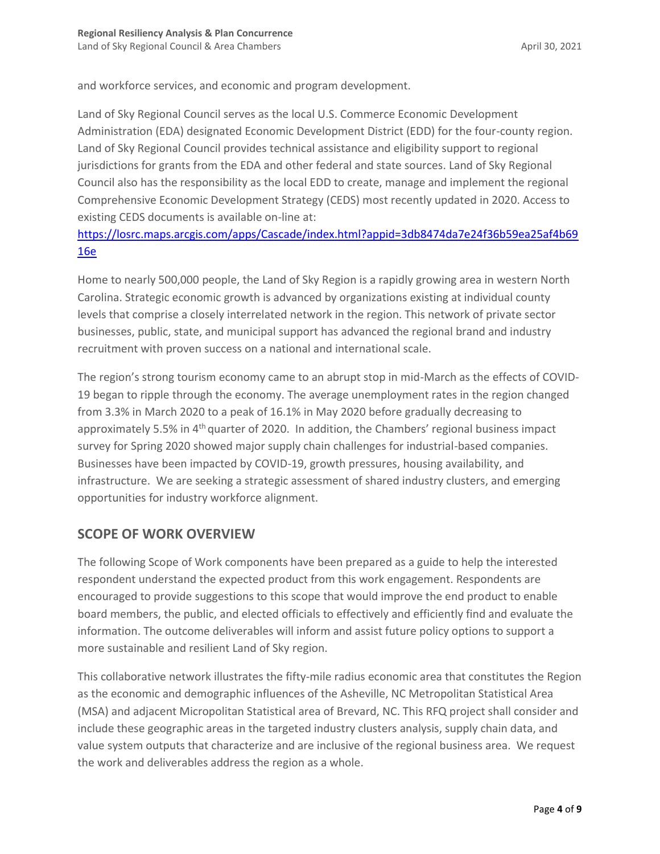and workforce services, and economic and program development.

Land of Sky Regional Council serves as the local U.S. Commerce Economic Development Administration (EDA) designated Economic Development District (EDD) for the four-county region. Land of Sky Regional Council provides technical assistance and eligibility support to regional jurisdictions for grants from the EDA and other federal and state sources. Land of Sky Regional Council also has the responsibility as the local EDD to create, manage and implement the regional Comprehensive Economic Development Strategy (CEDS) most recently updated in 2020. Access to existing CEDS documents is available on-line at:

[https://losrc.maps.arcgis.com/apps/Cascade/index.html?appid=3db8474da7e24f36b59ea25af4b69](https://losrc.maps.arcgis.com/apps/Cascade/index.html?appid=3db8474da7e24f36b59ea25af4b6916e) [16e](https://losrc.maps.arcgis.com/apps/Cascade/index.html?appid=3db8474da7e24f36b59ea25af4b6916e)

Home to nearly 500,000 people, the Land of Sky Region is a rapidly growing area in western North Carolina. Strategic economic growth is advanced by organizations existing at individual county levels that comprise a closely interrelated network in the region. This network of private sector businesses, public, state, and municipal support has advanced the regional brand and industry recruitment with proven success on a national and international scale.

The region's strong tourism economy came to an abrupt stop in mid-March as the effects of COVID-19 began to ripple through the economy. The average unemployment rates in the region changed from 3.3% in March 2020 to a peak of 16.1% in May 2020 before gradually decreasing to approximately 5.5% in  $4<sup>th</sup>$  quarter of 2020. In addition, the Chambers' regional business impact survey for Spring 2020 showed major supply chain challenges for industrial-based companies. Businesses have been impacted by COVID-19, growth pressures, housing availability, and infrastructure. We are seeking a strategic assessment of shared industry clusters, and emerging opportunities for industry workforce alignment.

# **SCOPE OF WORK OVERVIEW**

The following Scope of Work components have been prepared as a guide to help the interested respondent understand the expected product from this work engagement. Respondents are encouraged to provide suggestions to this scope that would improve the end product to enable board members, the public, and elected officials to effectively and efficiently find and evaluate the information. The outcome deliverables will inform and assist future policy options to support a more sustainable and resilient Land of Sky region.

This collaborative network illustrates the fifty-mile radius economic area that constitutes the Region as the economic and demographic influences of the Asheville, NC Metropolitan Statistical Area (MSA) and adjacent Micropolitan Statistical area of Brevard, NC. This RFQ project shall consider and include these geographic areas in the targeted industry clusters analysis, supply chain data, and value system outputs that characterize and are inclusive of the regional business area. We request the work and deliverables address the region as a whole.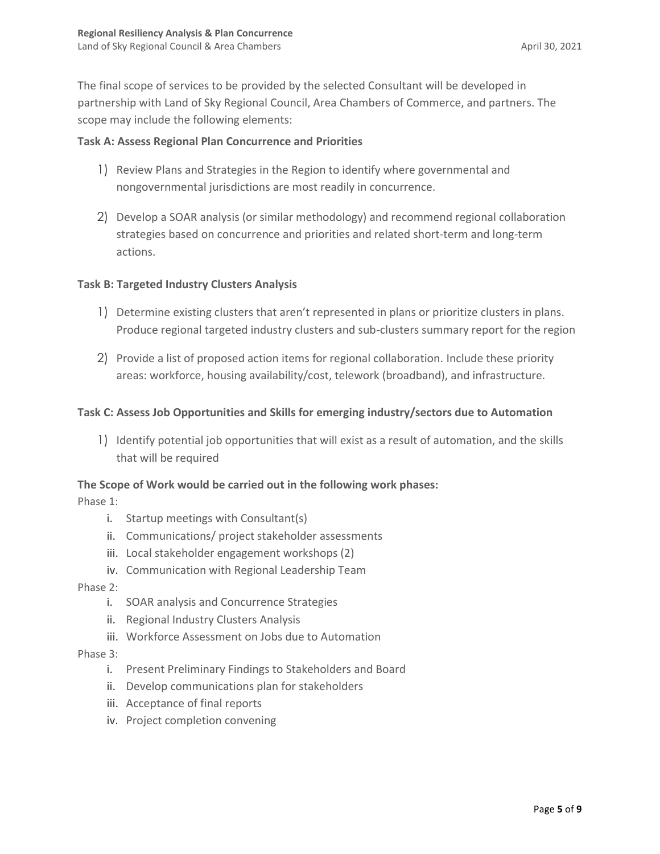The final scope of services to be provided by the selected Consultant will be developed in partnership with Land of Sky Regional Council, Area Chambers of Commerce, and partners. The scope may include the following elements:

### **Task A: Assess Regional Plan Concurrence and Priorities**

- 1) Review Plans and Strategies in the Region to identify where governmental and nongovernmental jurisdictions are most readily in concurrence.
- 2) Develop a SOAR analysis (or similar methodology) and recommend regional collaboration strategies based on concurrence and priorities and related short-term and long-term actions.

### **Task B: Targeted Industry Clusters Analysis**

- 1) Determine existing clusters that aren't represented in plans or prioritize clusters in plans. Produce regional targeted industry clusters and sub-clusters summary report for the region
- 2) Provide a list of proposed action items for regional collaboration. Include these priority areas: workforce, housing availability/cost, telework (broadband), and infrastructure.

# **Task C: Assess Job Opportunities and Skills for emerging industry/sectors due to Automation**

1) Identify potential job opportunities that will exist as a result of automation, and the skills that will be required

### **The Scope of Work would be carried out in the following work phases:**

Phase 1:

- i. Startup meetings with Consultant(s)
- ii. Communications/ project stakeholder assessments
- iii. Local stakeholder engagement workshops (2)
- iv. Communication with Regional Leadership Team

### Phase 2:

- i. SOAR analysis and Concurrence Strategies
- ii. Regional Industry Clusters Analysis
- iii. Workforce Assessment on Jobs due to Automation

### Phase 3:

- i. Present Preliminary Findings to Stakeholders and Board
- ii. Develop communications plan for stakeholders
- iii. Acceptance of final reports
- iv. Project completion convening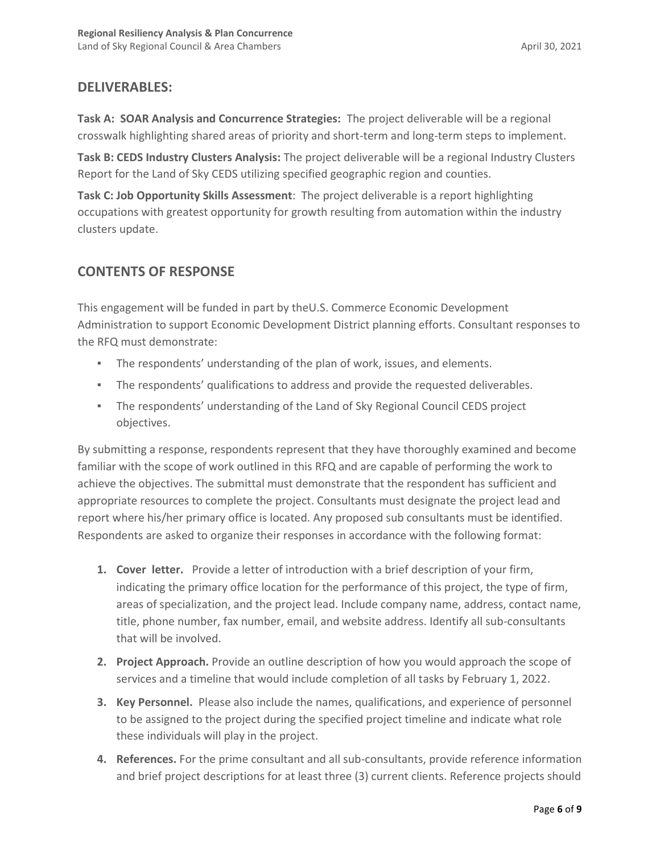# **DELIVERABLES:**

**Task A: SOAR Analysis and Concurrence Strategies:** The project deliverable will be a regional crosswalk highlighting shared areas of priority and short-term and long-term steps to implement.

**Task B: CEDS Industry Clusters Analysis:** The project deliverable will be a regional Industry Clusters Report for the Land of Sky CEDS utilizing specified geographic region and counties.

**Task C: Job Opportunity Skills Assessment**: The project deliverable is a report highlighting occupations with greatest opportunity for growth resulting from automation within the industry clusters update.

# **CONTENTS OF RESPONSE**

This engagement will be funded in part by theU.S. Commerce Economic Development Administration to support Economic Development District planning efforts. Consultant responses to the RFQ must demonstrate:

- The respondents' understanding of the plan of work, issues, and elements.
- The respondents' qualifications to address and provide the requested deliverables.
- The respondents' understanding of the Land of Sky Regional Council CEDS project objectives.

By submitting a response, respondents represent that they have thoroughly examined and become familiar with the scope of work outlined in this RFQ and are capable of performing the work to achieve the objectives. The submittal must demonstrate that the respondent has sufficient and appropriate resources to complete the project. Consultants must designate the project lead and report where his/her primary office is located. Any proposed sub consultants must be identified. Respondents are asked to organize their responses in accordance with the following format:

- **1. Cover letter.** Provide a letter of introduction with a brief description of your firm, indicating the primary office location for the performance of this project, the type of firm, areas of specialization, and the project lead. Include company name, address, contact name, title, phone number, fax number, email, and website address. Identify all sub-consultants that will be involved.
- **2. Project Approach.** Provide an outline description of how you would approach the scope of services and a timeline that would include completion of all tasks by February 1, 2022.
- **3. Key Personnel.** Please also include the names, qualifications, and experience of personnel to be assigned to the project during the specified project timeline and indicate what role these individuals will play in the project.
- **4. References.** For the prime consultant and all sub-consultants, provide reference information and brief project descriptions for at least three (3) current clients. Reference projects should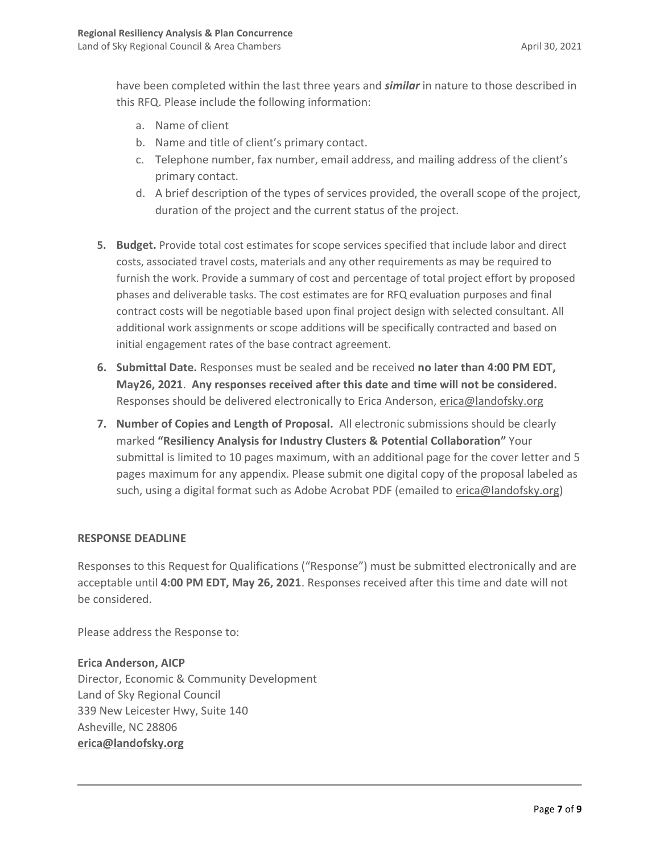have been completed within the last three years and *similar* in nature to those described in this RFQ. Please include the following information:

- a. Name of client
- b. Name and title of client's primary contact.
- c. Telephone number, fax number, email address, and mailing address of the client's primary contact.
- d. A brief description of the types of services provided, the overall scope of the project, duration of the project and the current status of the project.
- **5. Budget.** Provide total cost estimates for scope services specified that include labor and direct costs, associated travel costs, materials and any other requirements as may be required to furnish the work. Provide a summary of cost and percentage of total project effort by proposed phases and deliverable tasks. The cost estimates are for RFQ evaluation purposes and final contract costs will be negotiable based upon final project design with selected consultant. All additional work assignments or scope additions will be specifically contracted and based on initial engagement rates of the base contract agreement.
- **6. Submittal Date.** Responses must be sealed and be received **no later than 4:00 PM EDT, May26, 2021**. **Any responses received after this date and time will not be considered.**  Responses should be delivered electronically to Erica Anderson, [erica@landofsky.org](mailto:erica@landofsky.org)
- **7. Number of Copies and Length of Proposal.** All electronic submissions should be clearly marked **"Resiliency Analysis for Industry Clusters & Potential Collaboration"** Your submittal is limited to 10 pages maximum, with an additional page for the cover letter and 5 pages maximum for any appendix. Please submit one digital copy of the proposal labeled as such, using a digital format such as Adobe Acrobat PDF (emailed to [erica@landofsky.org\)](mailto:erica@landofsky.org)

### **RESPONSE DEADLINE**

Responses to this Request for Qualifications ("Response") must be submitted electronically and are acceptable until **4:00 PM EDT, May 26, 2021**. Responses received after this time and date will not be considered.

Please address the Response to:

# **Erica Anderson, AICP** Director, Economic & Community Development Land of Sky Regional Council 339 New Leicester Hwy, Suite 140 Asheville, NC 28806 **[erica@landofsky.org](mailto:erica@landofsky.org)**